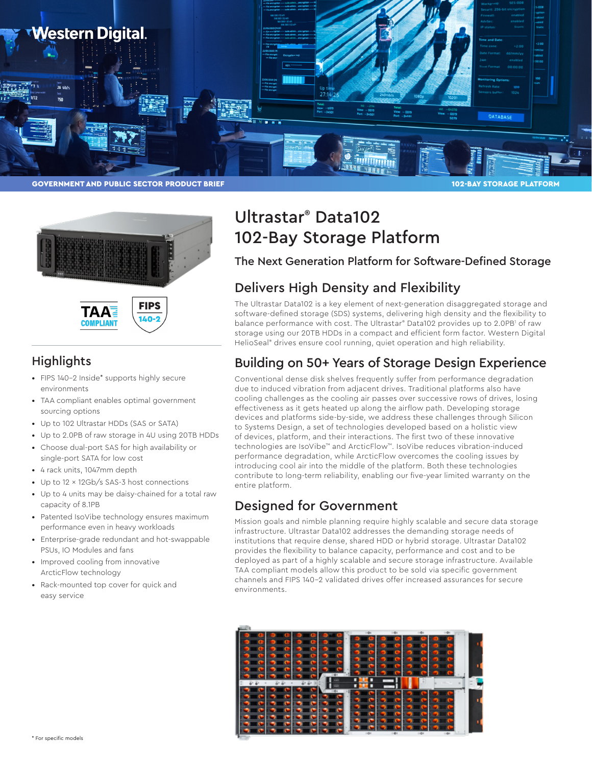





# **Highlights**

- FIPS 140-2 Inside\* supports highly secure environments
- TAA compliant enables optimal government sourcing options
- Up to 102 Ultrastar HDDs (SAS or SATA)
- Up to 2.0PB of raw storage in 4U using 20TB HDDs
- Choose dual-port SAS for high availability or single-port SATA for low cost
- 4 rack units, 1047mm depth
- Up to 12 x 12Gb/s SAS-3 host connections
- Up to 4 units may be daisy-chained for a total raw capacity of 8.1PB
- Patented IsoVibe technology ensures maximum performance even in heavy workloads
- Enterprise-grade redundant and hot-swappable PSUs, IO Modules and fans
- Improved cooling from innovative ArcticFlow technology
- Rack-mounted top cover for quick and easy service

# Ultrastar® Data102 102-Bay Storage Platform

The Next Generation Platform for Software-Defined Storage

# Delivers High Density and Flexibility

The Ultrastar Data102 is a key element of next-generation disaggregated storage and software-defined storage (SDS) systems, delivering high density and the flexibility to balance performance with cost. The Ultrastar® Data102 provides up to 2.0PB<sup>1</sup> of raw storage using our 20TB HDDs in a compact and efficient form factor. Western Digital HelioSeal<sup>®</sup> drives ensure cool running, quiet operation and high reliability.

# Building on 50+ Years of Storage Design Experience

Conventional dense disk shelves frequently suffer from performance degradation due to induced vibration from adjacent drives. Traditional platforms also have cooling challenges as the cooling air passes over successive rows of drives, losing effectiveness as it gets heated up along the airflow path. Developing storage devices and platforms side-by-side, we address these challenges through Silicon to Systems Design, a set of technologies developed based on a holistic view of devices, platform, and their interactions. The first two of these innovative technologies are IsoVibe™ and ArcticFlow™. IsoVibe reduces vibration-induced performance degradation, while ArcticFlow overcomes the cooling issues by introducing cool air into the middle of the platform. Both these technologies contribute to long-term reliability, enabling our five-year limited warranty on the entire platform.

# Designed for Government

Mission goals and nimble planning require highly scalable and secure data storage infrastructure. Ultrastar Data102 addresses the demanding storage needs of institutions that require dense, shared HDD or hybrid storage. Ultrastar Data102 provides the flexibility to balance capacity, performance and cost and to be deployed as part of a highly scalable and secure storage infrastructure. Available TAA compliant models allow this product to be sold via specific government channels and FIPS 140-2 validated drives offer increased assurances for secure environments.